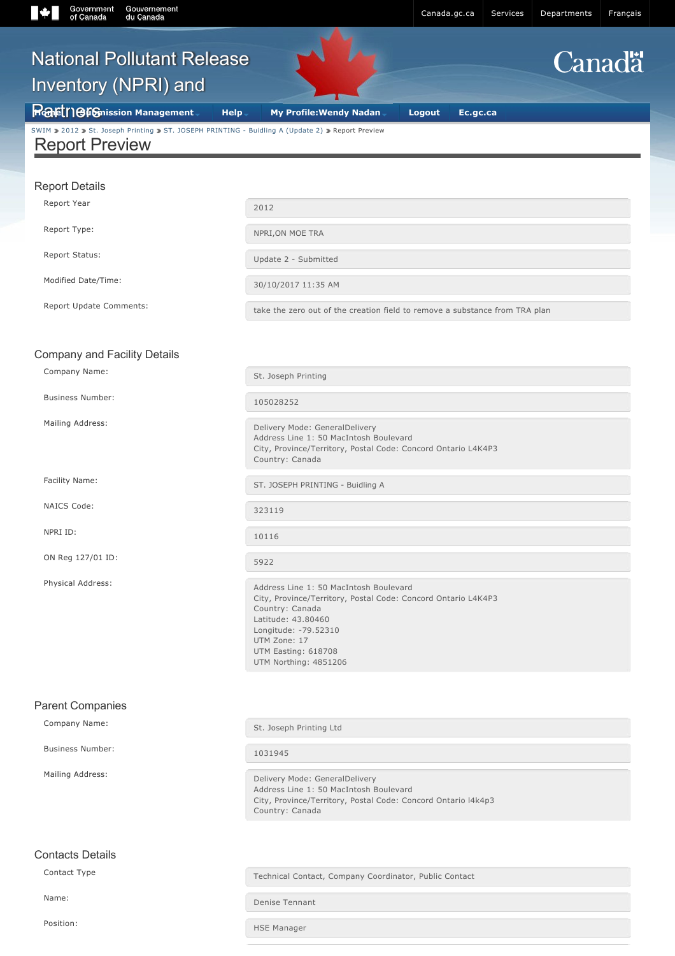[National Pollutant Release](about:/)

# **Canada**

# [SWIM](https://ec.ss.ec.gc.ca/auth/en/Services) [2012](about:/) [St. Joseph Printing](about:/) ST. JOSEPH PRINTING - Buidling A (Update 2) 3 Report Preview Inventory (NPRI) and **H**omet **[Submission Management](about:blank#) [Help](about:blank#)** [My Profile:Wendy Nadan](about:blank#) **[Logout](about:/V003/Logout_Deconnexion) [Ec.gc.ca](http://ec.gc.ca/default.asp?lang=En&n=FD9B0E51-1)** Report Preview Report Details Company and Facility Details Parent Companies Report Year 2012 Report Type: Network of the NPRI, ON MOE TRA Report Status: Update 2 - Submitted Modified Date/Time: 30/10/2017 11:35 AM Report Update Comments: take the zero out of the creation field to remove a substance from TRA plan Company Name: St. Joseph Printing Business Number: 105028252 Mailing Address: Mailing Address: Delivery Mode: GeneralDelivery Address Line 1: 50 MacIntosh Boulevard City, Province/Territory, Postal Code: Concord Ontario L4K4P3 Country: Canada Facility Name: ST. JOSEPH PRINTING - Buidling A NAICS Code: 323119 NPRI ID: 10116 ON Reg 127/01 ID: 5922 Physical Address: Address Line 1: 50 MacIntosh Boulevard City, Province/Territory, Postal Code: Concord Ontario L4K4P3 Country: Canada Latitude: 43.80460 Longitude: -79.52310 UTM Zone: 17 UTM Easting: 618708 UTM Northing: 4851206 Company Name: St. Joseph Printing Ltd Business Number: 1031945 Mailing Address: Mailing Address: Address Line 1: 50 MacIntosh Boulevard

#### Contacts Details

Contact Type Technical Contact, Company Coordinator, Public Contact

City, Province/Territory, Postal Code: Concord Ontario l4k4p3

Name: Denise Tennant

Country: Canada

Position: The Manager of the Manager of the Manager of the Manager of the Manager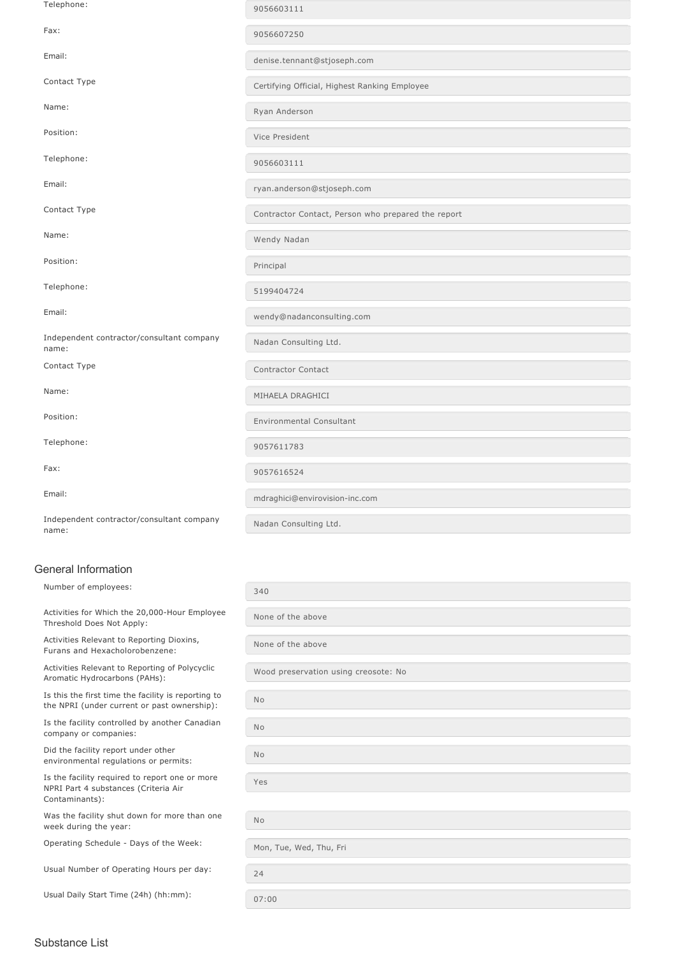| Telephone:                                                | 9056603111                                         |
|-----------------------------------------------------------|----------------------------------------------------|
| Fax:                                                      | 9056607250                                         |
| Email:                                                    | denise.tennant@stjoseph.com                        |
| Contact Type                                              | Certifying Official, Highest Ranking Employee      |
| Name:                                                     | Ryan Anderson                                      |
| Position:                                                 | Vice President                                     |
| Telephone:                                                | 9056603111                                         |
| Email:                                                    | ryan.anderson@stjoseph.com                         |
| Contact Type                                              | Contractor Contact, Person who prepared the report |
| Name:                                                     | Wendy Nadan                                        |
| Position:                                                 | Principal                                          |
| Telephone:                                                | 5199404724                                         |
| Email:                                                    | wendy@nadanconsulting.com                          |
| Independent contractor/consultant company<br>name:        | Nadan Consulting Ltd.                              |
| Contact Type                                              | Contractor Contact                                 |
| Name:                                                     | MIHAELA DRAGHICI                                   |
| Position:                                                 | <b>Environmental Consultant</b>                    |
| Telephone:                                                | 9057611783                                         |
| Fax:                                                      | 9057616524                                         |
| Email:                                                    | mdraghici@envirovision-inc.com                     |
| Independent contractor/consultant company<br>$m = ma - a$ | Nadan Consulting Ltd.                              |

Independent contractor/consultant company name:

#### General Information

| Number of employees:                                                                               | 340                                  |
|----------------------------------------------------------------------------------------------------|--------------------------------------|
| Activities for Which the 20,000-Hour Employee<br>Threshold Does Not Apply:                         | None of the above                    |
| Activities Relevant to Reporting Dioxins,<br>Furans and Hexacholorobenzene:                        | None of the above                    |
| Activities Relevant to Reporting of Polycyclic<br>Aromatic Hydrocarbons (PAHs):                    | Wood preservation using creosote: No |
| Is this the first time the facility is reporting to<br>the NPRI (under current or past ownership): | <b>No</b>                            |
| Is the facility controlled by another Canadian<br>company or companies:                            | <b>No</b>                            |
| Did the facility report under other<br>environmental regulations or permits:                       | <b>No</b>                            |
| Is the facility required to report one or more<br>NPRI Part 4 substances (Criteria Air             | Yes                                  |
| Contaminants):                                                                                     |                                      |
| Was the facility shut down for more than one<br>week during the year:                              | <b>No</b>                            |
| Operating Schedule - Days of the Week:                                                             | Mon, Tue, Wed, Thu, Fri              |
|                                                                                                    |                                      |
| Usual Number of Operating Hours per day:                                                           | 24                                   |
|                                                                                                    |                                      |
| Usual Daily Start Time (24h) (hh:mm):                                                              | 07:00                                |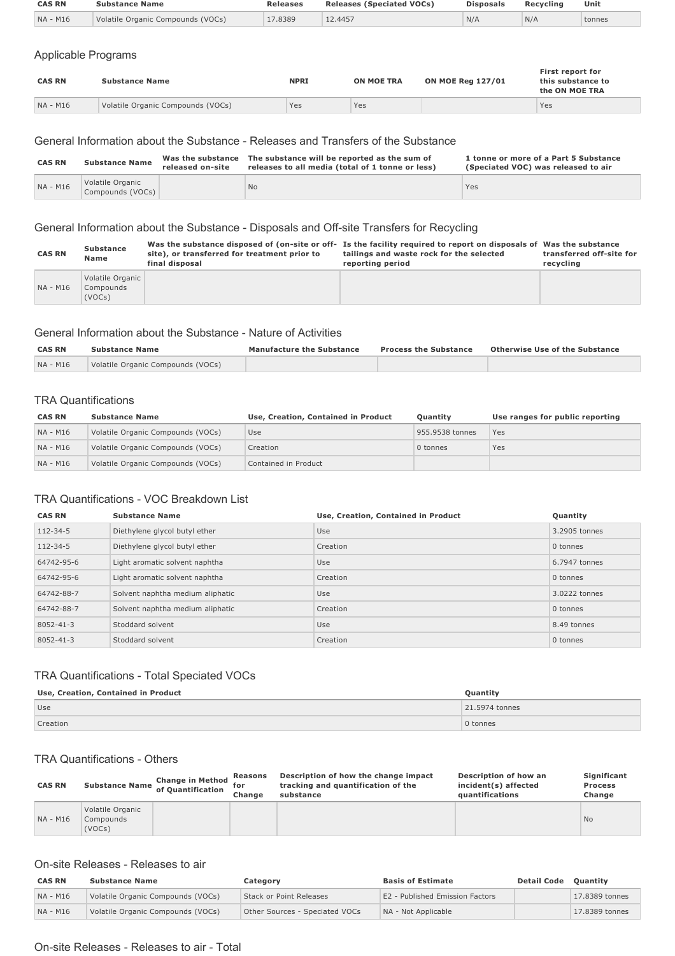| <b>CAS RN</b> | Substance Name                    | <b>Releases</b> | <b>Releases (Speciated VOCs)</b> | <b>Disposals</b> | Recycling | Unit   |
|---------------|-----------------------------------|-----------------|----------------------------------|------------------|-----------|--------|
| NA - M16      | Volatile Organic Compounds (VOCs) | 17.8389         | 12.4457                          | N/A              | N/A       | tonnes |
|               |                                   |                 |                                  |                  |           |        |

#### Applicable Programs

| <b>CAS RN</b> | <b>Substance Name</b>             | <b>NPRI</b> | <b>ON MOE TRA</b> | <b>ON MOE Reg 127/01</b> | First report for<br>this substance to<br>the ON MOE TRA |
|---------------|-----------------------------------|-------------|-------------------|--------------------------|---------------------------------------------------------|
| NA - M16      | Volatile Organic Compounds (VOCs) | Yes         | Yes               |                          | Yes                                                     |

#### General Information about the Substance Releases and Transfers of the Substance

| <b>CAS RN</b> | <b>Substance Name</b>                | Was the substance<br>released on-site | The substance will be reported as the sum of<br>releases to all media (total of 1 tonne or less) | 1 tonne or more of a Part 5 Substance<br>(Speciated VOC) was released to air |
|---------------|--------------------------------------|---------------------------------------|--------------------------------------------------------------------------------------------------|------------------------------------------------------------------------------|
| NA - M16      | Volatile Organic<br>Compounds (VOCs) |                                       | <b>No</b>                                                                                        | Yes                                                                          |

#### General Information about the Substance - Disposals and Off-site Transfers for Recycling

| <b>CAS RN</b> | Substance<br><b>Name</b>                | site), or transferred for treatment prior to<br>final disposal | Was the substance disposed of (on-site or off- Is the facility required to report on disposals of Was the substance<br>tailings and waste rock for the selected<br>reporting period | transferred off-site for<br>recycling |
|---------------|-----------------------------------------|----------------------------------------------------------------|-------------------------------------------------------------------------------------------------------------------------------------------------------------------------------------|---------------------------------------|
| NA - M16      | Volatile Organic<br>Compounds<br>(VOCs) |                                                                |                                                                                                                                                                                     |                                       |

#### General Information about the Substance Nature of Activities

| <b>CAS RN</b> | <b>Substance Name</b>             | <b>Manufacture the Substance</b> | <b>Process the Substance</b> | Otherwise Use of the Substance |
|---------------|-----------------------------------|----------------------------------|------------------------------|--------------------------------|
| NA - M16      | Volatile Organic Compounds (VOCs) |                                  |                              |                                |

#### TRA Quantifications

| <b>CAS RN</b> | <b>Substance Name</b>             | Use, Creation, Contained in Product | <b>Ouantity</b> | Use ranges for public reporting |
|---------------|-----------------------------------|-------------------------------------|-----------------|---------------------------------|
| NA - M16      | Volatile Organic Compounds (VOCs) | Use                                 | 955.9538 tonnes | Yes                             |
| NA - M16      | Volatile Organic Compounds (VOCs) | Creation                            | 0 tonnes        | Yes                             |
| NA - M16      | Volatile Organic Compounds (VOCs) | Contained in Product                |                 |                                 |

#### TRA Quantifications - VOC Breakdown List

| <b>CAS RN</b>  | <b>Substance Name</b>            | Use, Creation, Contained in Product | Quantity      |
|----------------|----------------------------------|-------------------------------------|---------------|
| $112 - 34 - 5$ | Diethylene glycol butyl ether    | <b>Use</b>                          | 3.2905 tonnes |
| $112 - 34 - 5$ | Diethylene glycol butyl ether    | Creation                            | 0 tonnes      |
| 64742-95-6     | Light aromatic solvent naphtha   | Use                                 | 6.7947 tonnes |
| 64742-95-6     | Light aromatic solvent naphtha   | Creation                            | 0 tonnes      |
| 64742-88-7     | Solvent naphtha medium aliphatic | Use                                 | 3.0222 tonnes |
| 64742-88-7     | Solvent naphtha medium aliphatic | Creation                            | 0 tonnes      |
| 8052-41-3      | Stoddard solvent                 | Use                                 | 8.49 tonnes   |
| 8052-41-3      | Stoddard solvent                 | Creation                            | 0 tonnes      |

#### TRA Quantifications - Total Speciated VOCs

| Use, Creation, Contained in Product | Quantity       |
|-------------------------------------|----------------|
| Use                                 | 21,5974 tonnes |
| Creation                            | 0 tonnes       |

#### TRA Quantifications - Others

| <b>CAS RN</b> |                                         | <b>Change in Method</b><br><b>Substance Name of Quantification</b> | Reasons<br>for<br>Change | Description of how the change impact<br>tracking and quantification of the<br>substance | Description of how an<br>incident(s) affected<br>quantifications | Significant<br><b>Process</b><br>Change |
|---------------|-----------------------------------------|--------------------------------------------------------------------|--------------------------|-----------------------------------------------------------------------------------------|------------------------------------------------------------------|-----------------------------------------|
| NA - M16      | Volatile Organic<br>Compounds<br>(VOCs) |                                                                    |                          |                                                                                         |                                                                  | <b>No</b>                               |

#### On-site Releases - Releases to air

| <b>CAS RN</b> | <b>Substance Name</b>             | Category                       | <b>Basis of Estimate</b>        | <b>Detail Code</b> | <b>Ouantity</b> |
|---------------|-----------------------------------|--------------------------------|---------------------------------|--------------------|-----------------|
| NA - M16      | Volatile Organic Compounds (VOCs) | Stack or Point Releases        | E2 - Published Emission Factors |                    | 17.8389 tonnes  |
| NA - M16      | Volatile Organic Compounds (VOCs) | Other Sources - Speciated VOCs | NA - Not Applicable             |                    | 17.8389 tonnes  |

#### On-site Releases - Releases to air - Total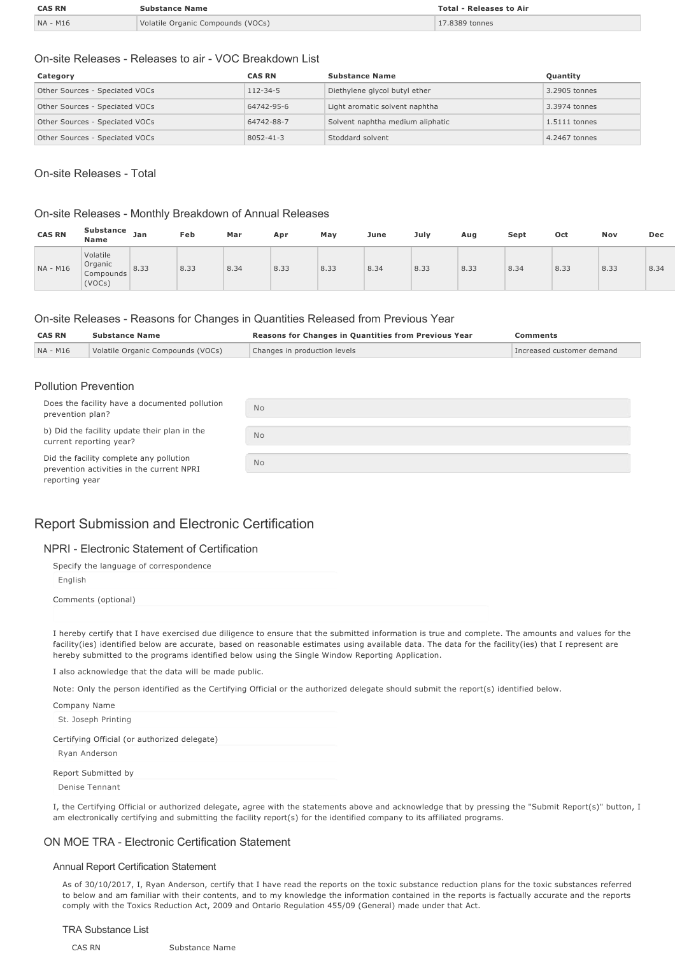| <b>CAS RN</b> | <b>Substance Name</b>             | <b>Total - Releases to Air</b> |
|---------------|-----------------------------------|--------------------------------|
| NA - M16      | Volatile Organic Compounds (VOCs) | 17.8389 tonnes                 |

#### On-site Releases - Releases to air - VOC Breakdown List

| Category                       | <b>CAS RN</b>   | <b>Substance Name</b>            | Quantity      |
|--------------------------------|-----------------|----------------------------------|---------------|
| Other Sources - Speciated VOCs | $112 - 34 - 5$  | Diethylene glycol butyl ether    | 3.2905 tonnes |
| Other Sources - Speciated VOCs | 64742-95-6      | Light aromatic solvent naphtha   | 3.3974 tonnes |
| Other Sources - Speciated VOCs | 64742-88-7      | Solvent naphtha medium aliphatic | 1.5111 tonnes |
| Other Sources - Speciated VOCs | $8052 - 41 - 3$ | Stoddard solvent                 | 4.2467 tonnes |

#### On-site Releases - Total

#### On-site Releases - Monthly Breakdown of Annual Releases

| <b>CAS RN</b> | <b>Substance</b><br><b>Name</b>            | Jan  | Feb  | Mar  | Apr  | May  | June | July | Aug  | Sept | Oct  | Nov  | Dec  |
|---------------|--------------------------------------------|------|------|------|------|------|------|------|------|------|------|------|------|
| NA - M16      | Volatile<br>Organic<br>Compounds<br>(VOCs) | 8.33 | 8.33 | 8.34 | 8.33 | 8.33 | 8.34 | 8.33 | 8.33 | 8.34 | 8.33 | 8.33 | 8.34 |

#### On-site Releases - Reasons for Changes in Quantities Released from Previous Year

| <b>CAS RN</b> | <b>Substance Name</b>             | <b>Reasons for Changes in Quantities from Previous Year</b> | Comments                  |
|---------------|-----------------------------------|-------------------------------------------------------------|---------------------------|
| NA - M16      | Volatile Organic Compounds (VOCs) | Changes in production levels                                | Increased customer demand |
|               |                                   |                                                             |                           |

#### Pollution Prevention

| Does the facility have a documented pollution<br>prevention plan?                                      | <b>No</b> |
|--------------------------------------------------------------------------------------------------------|-----------|
| b) Did the facility update their plan in the<br>current reporting year?                                | <b>No</b> |
| Did the facility complete any pollution<br>prevention activities in the current NPRI<br>reporting year | <b>No</b> |

#### Report Submission and Electronic Certification

#### NPRI - Electronic Statement of Certification

| Specify the language of correspondence |
|----------------------------------------|
| English                                |
| Comments (optional)                    |

I hereby certify that I have exercised due diligence to ensure that the submitted information is true and complete. The amounts and values for the facility(ies) identified below are accurate, based on reasonable estimates using available data. The data for the facility(ies) that I represent are hereby submitted to the programs identified below using the Single Window Reporting Application.

I also acknowledge that the data will be made public.

Note: Only the person identified as the Certifying Official or the authorized delegate should submit the report(s) identified below.

| Company Name                                 |  |
|----------------------------------------------|--|
| St. Joseph Printing                          |  |
| Certifying Official (or authorized delegate) |  |
| Ryan Anderson                                |  |
| Report Submitted by                          |  |

Denise Tennant

I, the Certifying Official or authorized delegate, agree with the statements above and acknowledge that by pressing the "Submit Report(s)" button, I am electronically certifying and submitting the facility report(s) for the identified company to its affiliated programs.

#### ON MOE TRA Electronic Certification Statement

#### Annual Report Certification Statement

As of 30/10/2017, I, Ryan Anderson, certify that I have read the reports on the toxic substance reduction plans for the toxic substances referred to below and am familiar with their contents, and to my knowledge the information contained in the reports is factually accurate and the reports comply with the Toxics Reduction Act, 2009 and Ontario Regulation 455/09 (General) made under that Act.

#### TRA Substance List

#### CAS RN Substance Name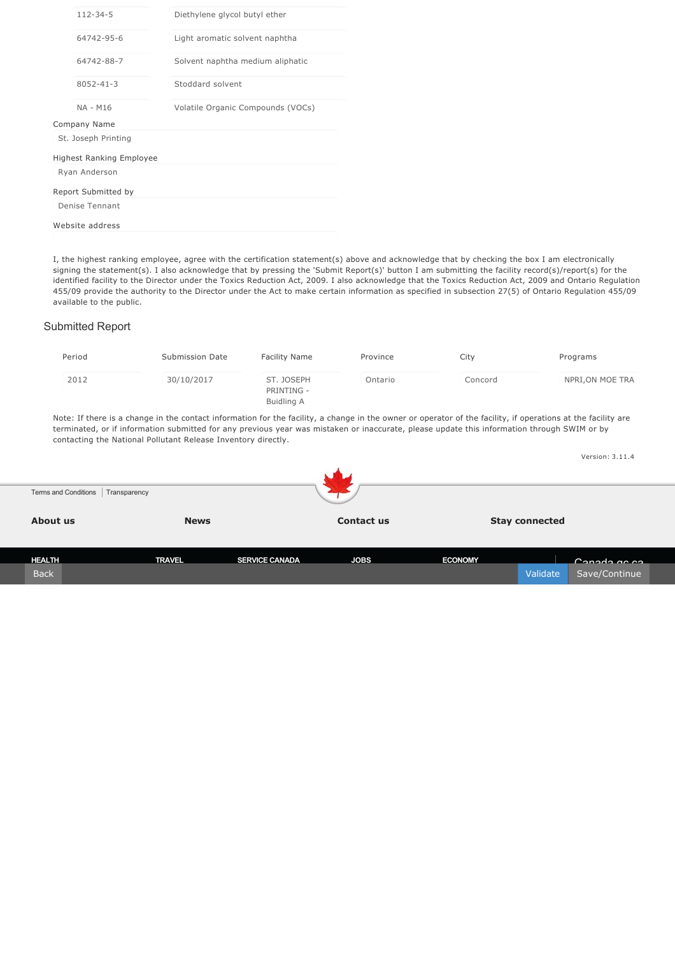| $112 - 34 - 5$                  | Diethylene glycol butyl ether     |
|---------------------------------|-----------------------------------|
| 64742-95-6                      | Light aromatic solvent naphtha    |
| 64742-88-7                      | Solvent naphtha medium aliphatic  |
| $8052 - 41 - 3$                 | Stoddard solvent                  |
| NA - M16                        | Volatile Organic Compounds (VOCs) |
| Company Name                    |                                   |
| St. Joseph Printing             |                                   |
| <b>Highest Ranking Employee</b> |                                   |
| Ryan Anderson                   |                                   |
| Report Submitted by             |                                   |
| Denise Tennant                  |                                   |
| Website address                 |                                   |

I, the highest ranking employee, agree with the certification statement(s) above and acknowledge that by checking the box I am electronically signing the statement(s). I also acknowledge that by pressing the 'Submit Report(s)' button I am submitting the facility record(s)/report(s) for the identified facility to the Director under the Toxics Reduction Act, 2009. I also acknowledge that the Toxics Reduction Act, 2009 and Ontario Regulation 455/09 provide the authority to the Director under the Act to make certain information as specified in subsection 27(5) of Ontario Regulation 455/09 available to the public.

#### Submitted Report

| Period | Submission Date | Facility Name                          | Province | City    | Programs         |
|--------|-----------------|----------------------------------------|----------|---------|------------------|
| 2012   | 30/10/2017      | ST. JOSEPH<br>PRINTING -<br>Buidling A | Ontario  | Concord | NPRI, ON MOE TRA |

Note: If there is a change in the contact information for the facility, a change in the owner or operator of the facility, if operations at the facility are terminated, or if information submitted for any previous year was mistaken or inaccurate, please update this information through SWIM or by contacting the National Pollutant Release Inventory directly.

|               |                                      |                       |             |                |                       | Version: 3.11.4 |  |
|---------------|--------------------------------------|-----------------------|-------------|----------------|-----------------------|-----------------|--|
|               | Terms and Conditions<br>Transparency |                       |             |                |                       |                 |  |
| About us      |                                      | <b>News</b>           | Contact us  |                | <b>Stay connected</b> |                 |  |
| <b>HEALTH</b> | <b>TRAVEL</b>                        | <b>SERVICE CANADA</b> | <b>JOBS</b> | <b>ECONOMY</b> |                       | $C$ anada ac ca |  |
| <b>Back</b>   |                                      |                       |             |                | Validate              | Save/Continue   |  |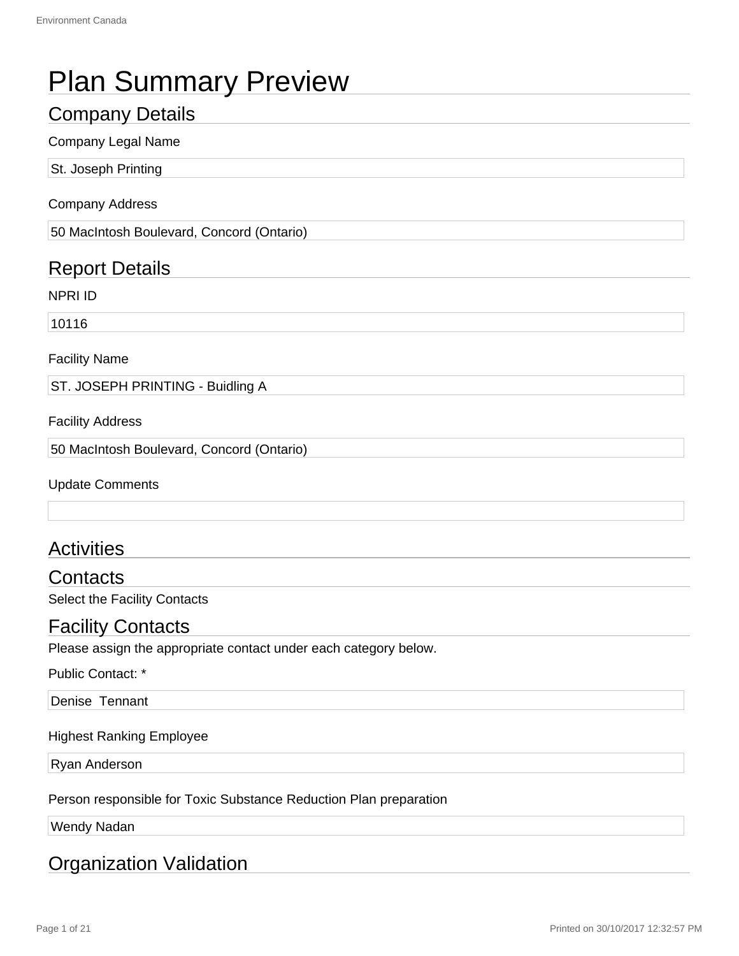# Plan Summary Preview

# Company Details

#### Company Legal Name

St. Joseph Printing

#### Company Address

50 MacIntosh Boulevard, Concord (Ontario)

# Report Details

NPRI ID

10116

Facility Name

ST. JOSEPH PRINTING - Buidling A

Facility Address

50 MacIntosh Boulevard, Concord (Ontario)

Update Comments

# **Activities**

**Contacts** Select the Facility Contacts

## Facility Contacts

Please assign the appropriate contact under each category below.

Public Contact: \*

Denise Tennant

#### Highest Ranking Employee

Ryan Anderson

Person responsible for Toxic Substance Reduction Plan preparation

Wendy Nadan

# Organization Validation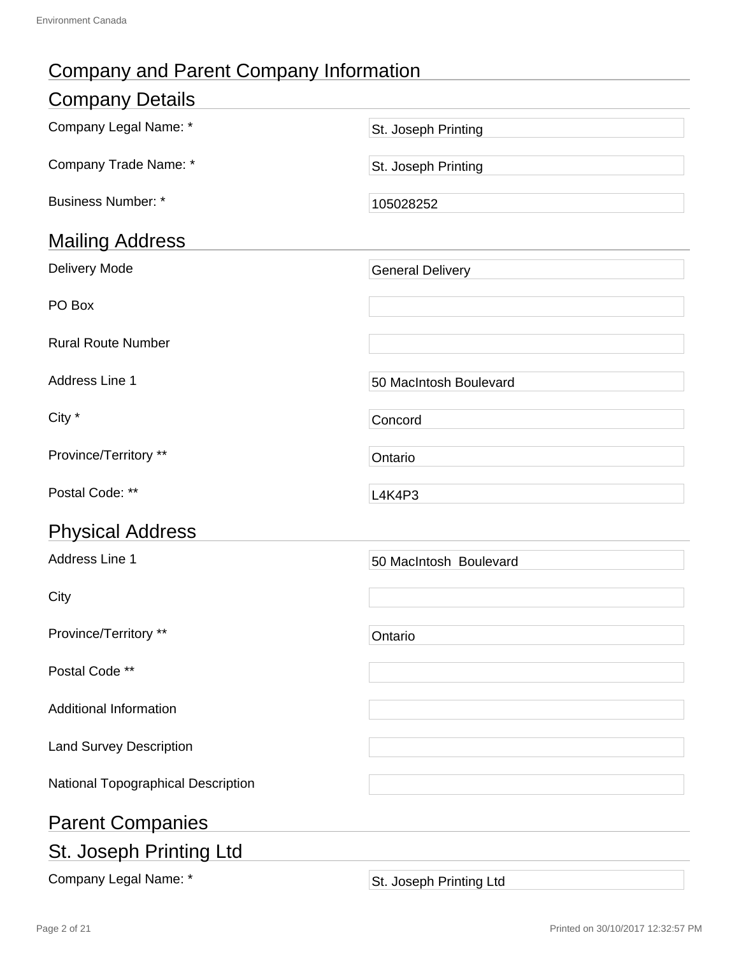# Company and Parent Company Information

| <b>Company Details</b>             |                         |
|------------------------------------|-------------------------|
| Company Legal Name: *              | St. Joseph Printing     |
| Company Trade Name: *              | St. Joseph Printing     |
| <b>Business Number: *</b>          | 105028252               |
| <b>Mailing Address</b>             |                         |
| Delivery Mode                      | <b>General Delivery</b> |
| PO Box                             |                         |
| <b>Rural Route Number</b>          |                         |
| <b>Address Line 1</b>              | 50 MacIntosh Boulevard  |
| City *                             | Concord                 |
| Province/Territory **              | Ontario                 |
| Postal Code: **                    | <b>L4K4P3</b>           |
| <b>Physical Address</b>            |                         |
| <b>Address Line 1</b>              | 50 MacIntosh Boulevard  |
| City                               |                         |
| Province/Territory **              | Ontario                 |
| Postal Code **                     |                         |
| <b>Additional Information</b>      |                         |
| <b>Land Survey Description</b>     |                         |
| National Topographical Description |                         |
| <b>Parent Companies</b>            |                         |
| <b>St. Joseph Printing Ltd</b>     |                         |
|                                    |                         |

Company Legal Name: \* St. Joseph Printing Ltd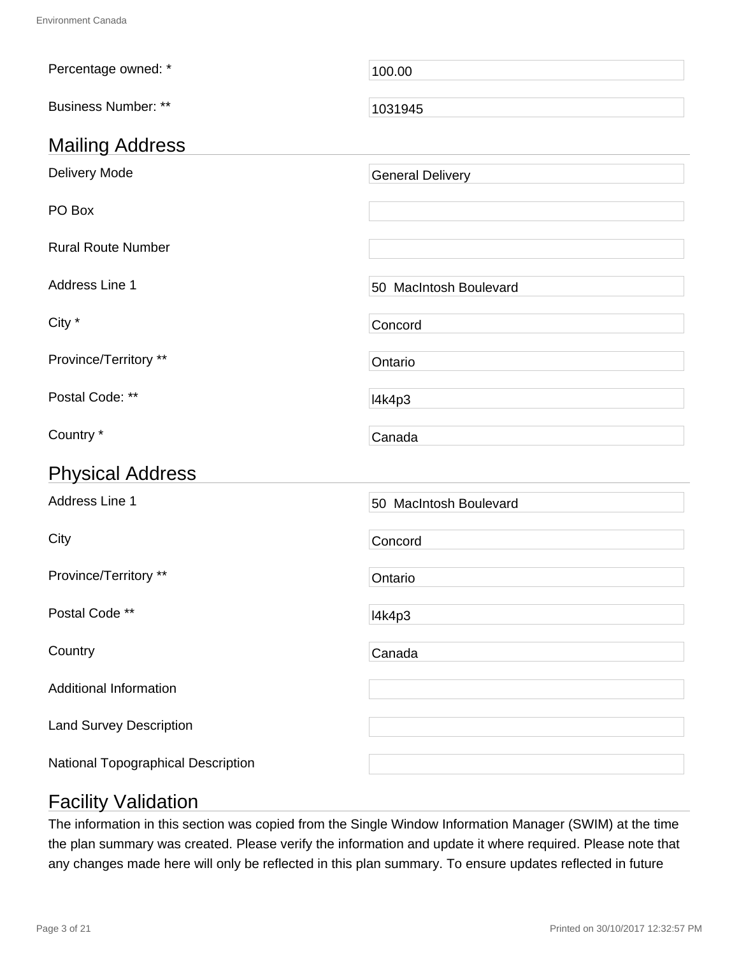| Percentage owned: *                | 100.00                  |
|------------------------------------|-------------------------|
| <b>Business Number: **</b>         | 1031945                 |
| <b>Mailing Address</b>             |                         |
| <b>Delivery Mode</b>               | <b>General Delivery</b> |
| PO Box                             |                         |
| <b>Rural Route Number</b>          |                         |
| Address Line 1                     | 50 MacIntosh Boulevard  |
| City *                             | Concord                 |
| Province/Territory **              | Ontario                 |
| Postal Code: **                    | I4k4p3                  |
| Country *                          | Canada                  |
| <b>Physical Address</b>            |                         |
| Address Line 1                     | 50 MacIntosh Boulevard  |
| City                               | Concord                 |
| Province/Territory **              | Ontario                 |
| Postal Code **                     | I4k4p3                  |
| Country                            | Canada                  |
| <b>Additional Information</b>      |                         |
| <b>Land Survey Description</b>     |                         |
| National Topographical Description |                         |

# Facility Validation

The information in this section was copied from the Single Window Information Manager (SWIM) at the time the plan summary was created. Please verify the information and update it where required. Please note that any changes made here will only be reflected in this plan summary. To ensure updates reflected in future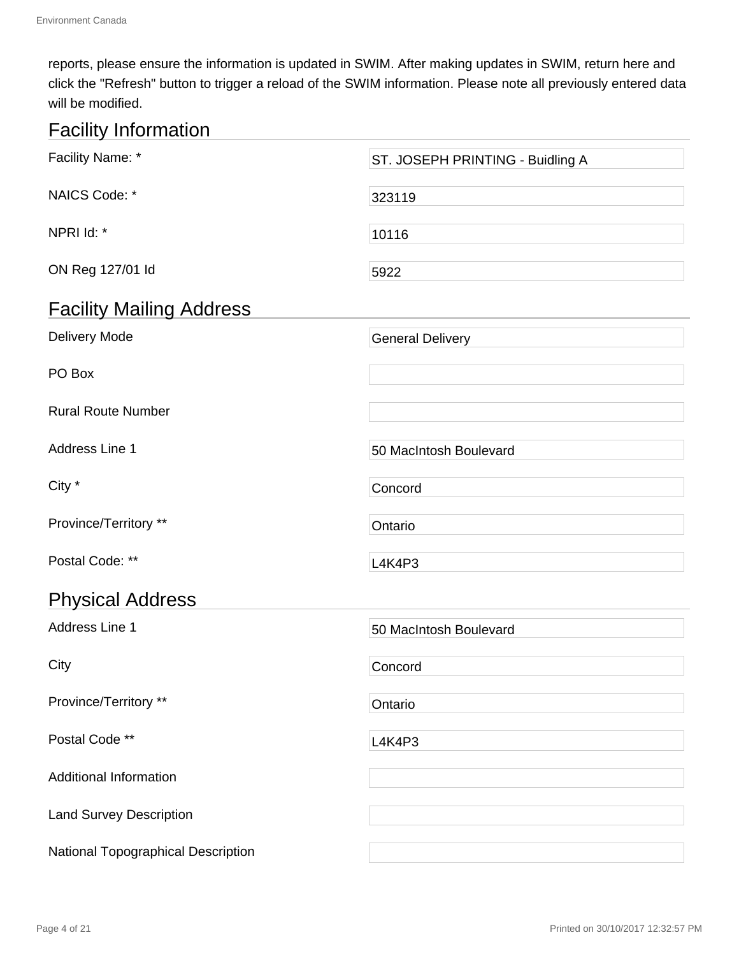reports, please ensure the information is updated in SWIM. After making updates in SWIM, return here and click the "Refresh" button to trigger a reload of the SWIM information. Please note all previously entered data will be modified.

# Facility Information

| Facility Name: *                   | ST. JOSEPH PRINTING - Buidling A |
|------------------------------------|----------------------------------|
| NAICS Code: *                      | 323119                           |
| NPRI Id: *                         | 10116                            |
| ON Reg 127/01 ld                   | 5922                             |
| <b>Facility Mailing Address</b>    |                                  |
| Delivery Mode                      | <b>General Delivery</b>          |
| PO Box                             |                                  |
| <b>Rural Route Number</b>          |                                  |
| Address Line 1                     | 50 MacIntosh Boulevard           |
| City *                             | Concord                          |
| Province/Territory **              | Ontario                          |
| Postal Code: **                    | <b>L4K4P3</b>                    |
| <b>Physical Address</b>            |                                  |
| Address Line 1                     | 50 MacIntosh Boulevard           |
| City                               | Concord                          |
| Province/Territory **              | Ontario                          |
| Postal Code **                     | <b>L4K4P3</b>                    |
| <b>Additional Information</b>      |                                  |
| <b>Land Survey Description</b>     |                                  |
| National Topographical Description |                                  |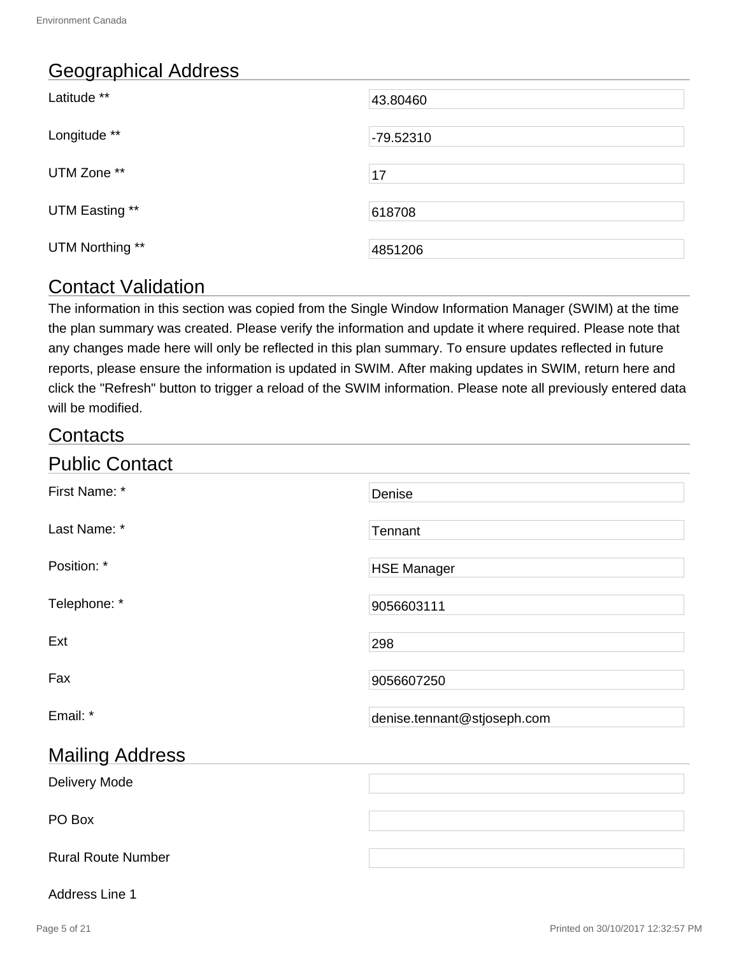# Geographical Address

| Latitude **     | 43.80460  |
|-----------------|-----------|
| Longitude **    | -79.52310 |
| UTM Zone **     | 17        |
| UTM Easting **  | 618708    |
| UTM Northing ** | 4851206   |

# Contact Validation

The information in this section was copied from the Single Window Information Manager (SWIM) at the time the plan summary was created. Please verify the information and update it where required. Please note that any changes made here will only be reflected in this plan summary. To ensure updates reflected in future reports, please ensure the information is updated in SWIM. After making updates in SWIM, return here and click the "Refresh" button to trigger a reload of the SWIM information. Please note all previously entered data will be modified.

# **Contacts**

| <b>Public Contact</b>     |                             |
|---------------------------|-----------------------------|
| First Name: *             | Denise                      |
| Last Name: *              | Tennant                     |
| Position: *               | <b>HSE Manager</b>          |
| Telephone: *              | 9056603111                  |
| Ext                       | 298                         |
| Fax                       | 9056607250                  |
| Email: *                  | denise.tennant@stjoseph.com |
| <b>Mailing Address</b>    |                             |
| Delivery Mode             |                             |
| PO Box                    |                             |
| <b>Rural Route Number</b> |                             |

#### Address Line 1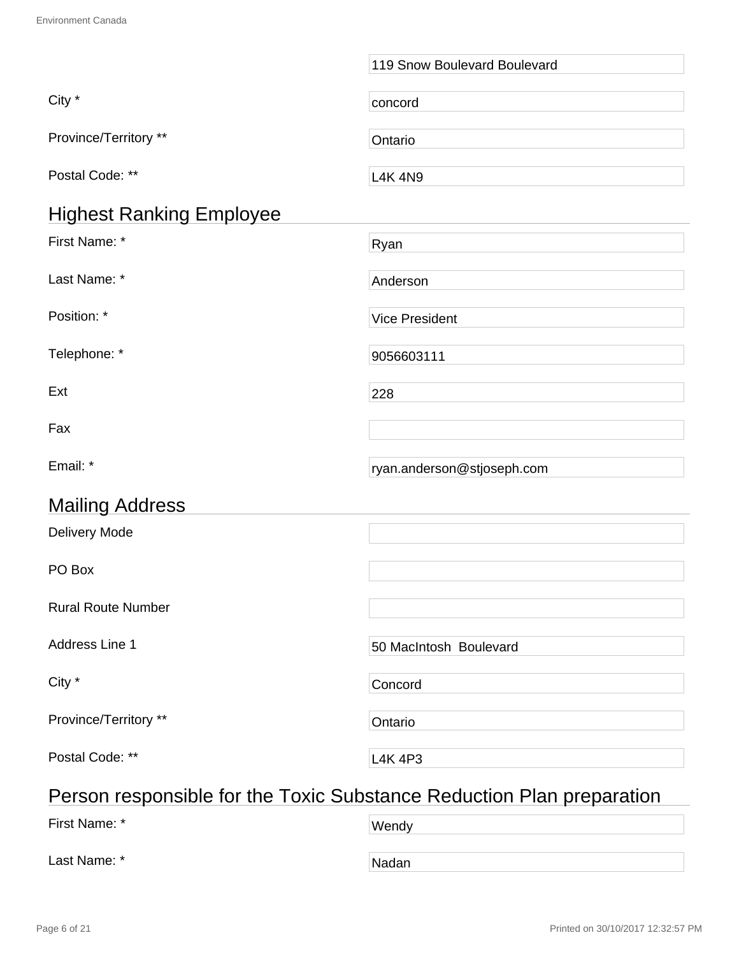|                                                                       | 119 Snow Boulevard Boulevard |  |
|-----------------------------------------------------------------------|------------------------------|--|
| City *                                                                | concord                      |  |
| Province/Territory **                                                 | Ontario                      |  |
| Postal Code: **                                                       | <b>L4K 4N9</b>               |  |
| <b>Highest Ranking Employee</b>                                       |                              |  |
| First Name: *                                                         | Ryan                         |  |
| Last Name: *                                                          | Anderson                     |  |
| Position: *                                                           | <b>Vice President</b>        |  |
| Telephone: *                                                          | 9056603111                   |  |
| Ext                                                                   | 228                          |  |
| Fax                                                                   |                              |  |
| Email: *                                                              | ryan.anderson@stjoseph.com   |  |
| <b>Mailing Address</b>                                                |                              |  |
| <b>Delivery Mode</b>                                                  |                              |  |
| PO Box                                                                |                              |  |
| <b>Rural Route Number</b>                                             |                              |  |
| Address Line 1                                                        | 50 MacIntosh Boulevard       |  |
| City *                                                                | Concord                      |  |
| Province/Territory **                                                 | Ontario                      |  |
| Postal Code: **                                                       | <b>L4K 4P3</b>               |  |
| Person responsible for the Tovic Substance Reduction Plan preparation |                              |  |

# Person responsible for the Toxic Substance Reduction Plan preparation

| First Name: * | Wendy |  |
|---------------|-------|--|
| Last Name: *  | Nadan |  |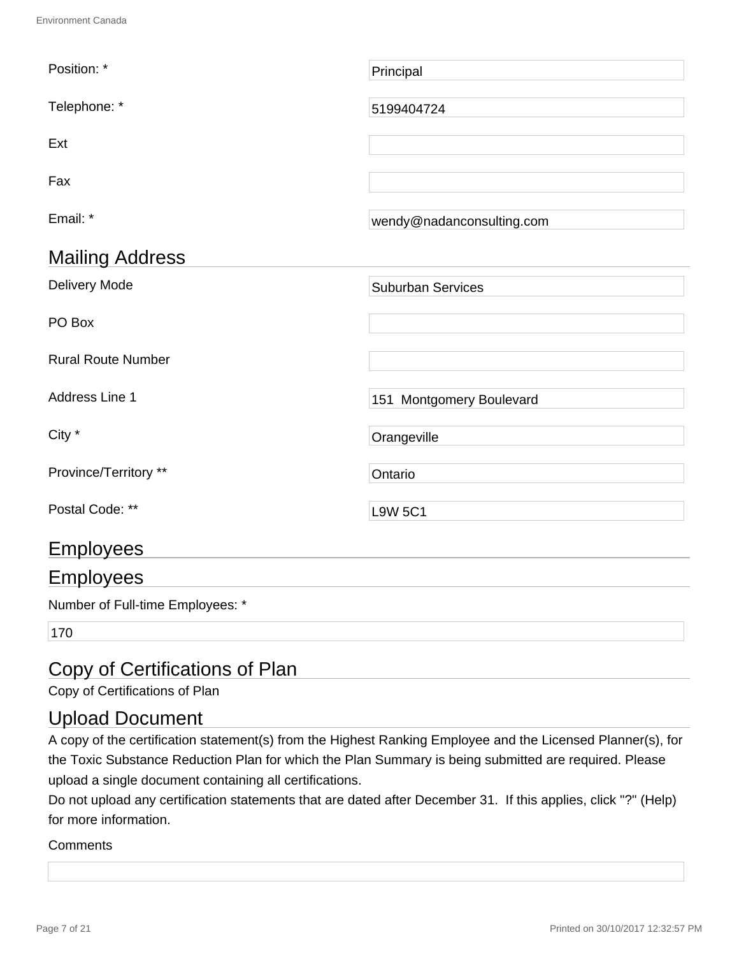| Position: *               | Principal                 |
|---------------------------|---------------------------|
| Telephone: *              | 5199404724                |
| Ext                       |                           |
| Fax                       |                           |
| Email: *                  | wendy@nadanconsulting.com |
| <b>Mailing Address</b>    |                           |
| Delivery Mode             | <b>Suburban Services</b>  |
| PO Box                    |                           |
| <b>Rural Route Number</b> |                           |
| Address Line 1            | 151 Montgomery Boulevard  |
| City *                    | Orangeville               |
| Province/Territory **     | Ontario                   |
| Postal Code: **           | <b>L9W 5C1</b>            |
| <b>Employees</b>          |                           |
| <b>Employees</b>          |                           |

Number of Full-time Employees: \*

170

# Copy of Certifications of Plan

Copy of Certifications of Plan

# Upload Document

A copy of the certification statement(s) from the Highest Ranking Employee and the Licensed Planner(s), for the Toxic Substance Reduction Plan for which the Plan Summary is being submitted are required. Please upload a single document containing all certifications.

Do not upload any certification statements that are dated after December 31. If this applies, click "?" (Help) for more information.

#### **Comments**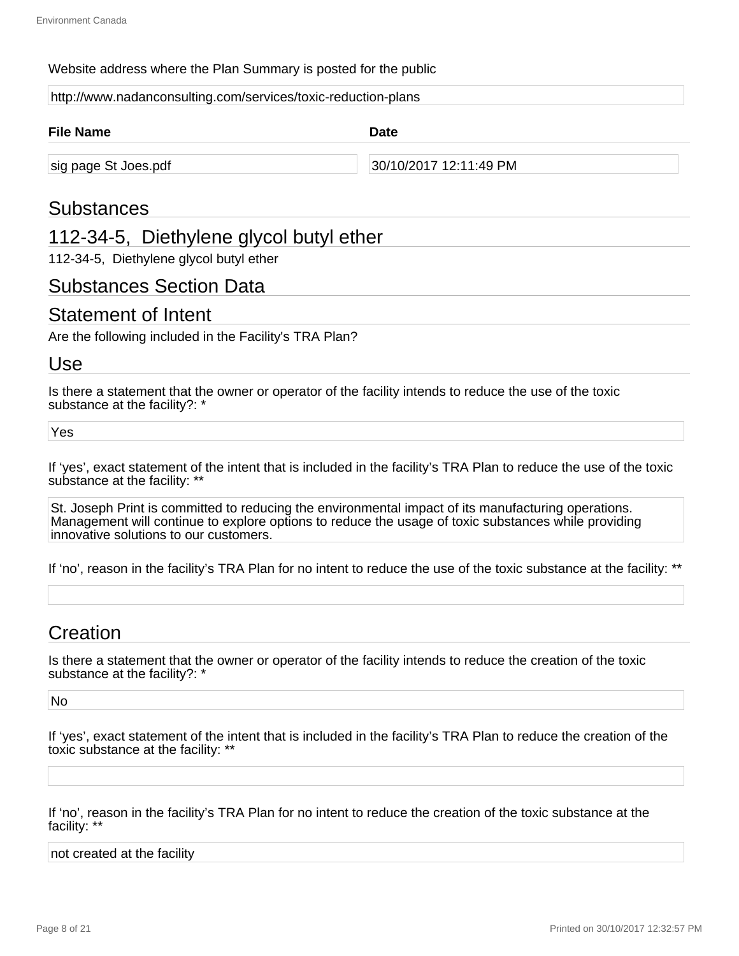#### Website address where the Plan Summary is posted for the public

http://www.nadanconsulting.com/services/toxic-reduction-plans

| <b>File Name</b>     | <b>Date</b>            |  |
|----------------------|------------------------|--|
| sig page St Joes.pdf | 30/10/2017 12:11:49 PM |  |

## Substances

## 112-34-5, Diethylene glycol butyl ether

112-34-5, Diethylene glycol butyl ether

## Substances Section Data

## Statement of Intent

Are the following included in the Facility's TRA Plan?

### Use

Is there a statement that the owner or operator of the facility intends to reduce the use of the toxic substance at the facility?: \*

Yes

If 'yes', exact statement of the intent that is included in the facility's TRA Plan to reduce the use of the toxic substance at the facility: \*\*

St. Joseph Print is committed to reducing the environmental impact of its manufacturing operations. Management will continue to explore options to reduce the usage of toxic substances while providing innovative solutions to our customers.

If 'no', reason in the facility's TRA Plan for no intent to reduce the use of the toxic substance at the facility: \*\*

# Creation

Is there a statement that the owner or operator of the facility intends to reduce the creation of the toxic substance at the facility?: \*

No

If 'yes', exact statement of the intent that is included in the facility's TRA Plan to reduce the creation of the toxic substance at the facility: \*\*

If 'no', reason in the facility's TRA Plan for no intent to reduce the creation of the toxic substance at the facility: \*\*

not created at the facility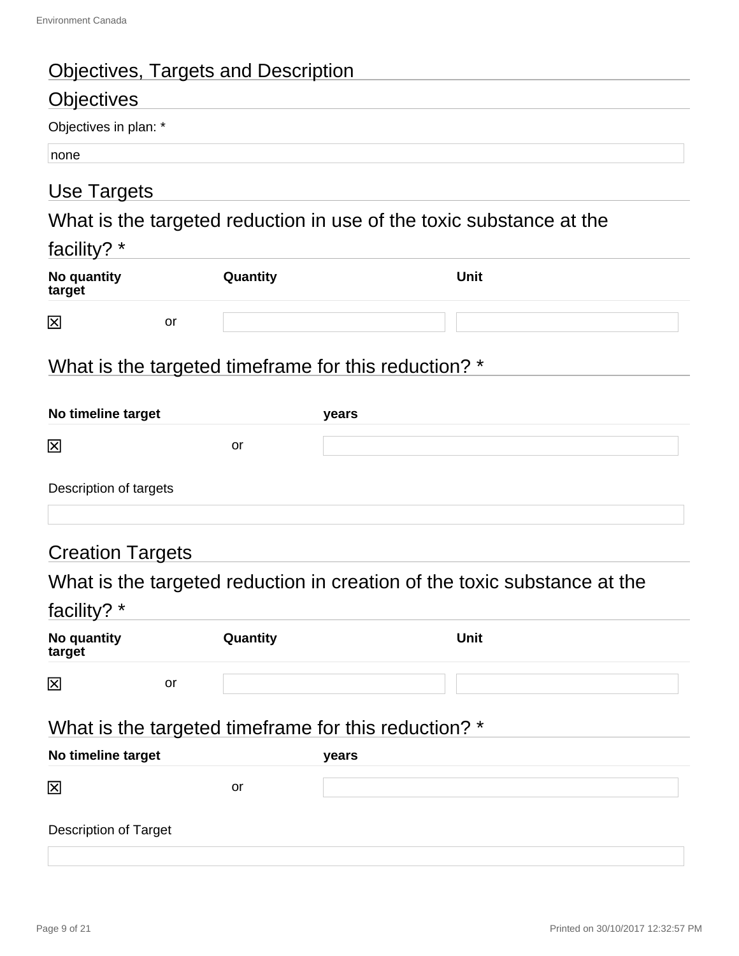# Objectives, Targets and Description

# **Objectives**

Objectives in plan: \*

none

# Use Targets

What is the targeted reduction in use of the toxic substance at the

| acıııt∖<br>$\overline{\phantom{a}}$ |  |
|-------------------------------------|--|
|                                     |  |

| No quantity<br>target |    | Quantity | <b>Unit</b> |
|-----------------------|----|----------|-------------|
| 区                     | or |          |             |

# What is the targeted timeframe for this reduction? \*

| No timeline target                                   |           | years |                                                                          |
|------------------------------------------------------|-----------|-------|--------------------------------------------------------------------------|
| 区                                                    | <b>or</b> |       |                                                                          |
| Description of targets                               |           |       |                                                                          |
| <b>Creation Targets</b>                              |           |       |                                                                          |
|                                                      |           |       | What is the targeted reduction in creation of the toxic substance at the |
| facility? *                                          |           |       |                                                                          |
| No quantity<br>target                                | Quantity  |       | <b>Unit</b>                                                              |
| 区<br><b>or</b>                                       |           |       |                                                                          |
| What is the targeted timeframe for this reduction? * |           |       |                                                                          |
| No timeline target                                   |           | years |                                                                          |
| 龱                                                    | or        |       |                                                                          |
|                                                      |           |       |                                                                          |

Description of Target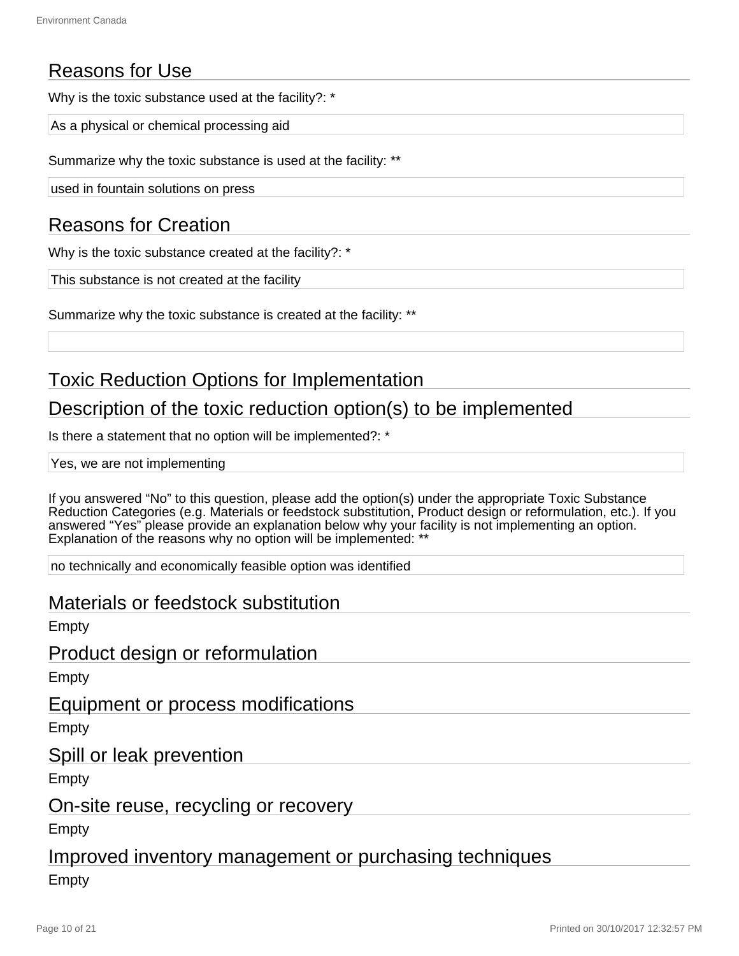# Reasons for Use

Why is the toxic substance used at the facility?: \*

As a physical or chemical processing aid

Summarize why the toxic substance is used at the facility: \*\*

used in fountain solutions on press

# Reasons for Creation

Why is the toxic substance created at the facility?: \*

This substance is not created at the facility

Summarize why the toxic substance is created at the facility: \*\*

# Toxic Reduction Options for Implementation

# Description of the toxic reduction option(s) to be implemented

Is there a statement that no option will be implemented?: \*

Yes, we are not implementing

If you answered "No" to this question, please add the option(s) under the appropriate Toxic Substance Reduction Categories (e.g. Materials or feedstock substitution, Product design or reformulation, etc.). If you answered "Yes" please provide an explanation below why your facility is not implementing an option. Explanation of the reasons why no option will be implemented: \*\*

no technically and economically feasible option was identified

## Materials or feedstock substitution

Empty

Product design or reformulation

**Empty** 

Equipment or process modifications

Empty

Spill or leak prevention

Empty

On-site reuse, recycling or recovery

Empty

Improved inventory management or purchasing techniques

Empty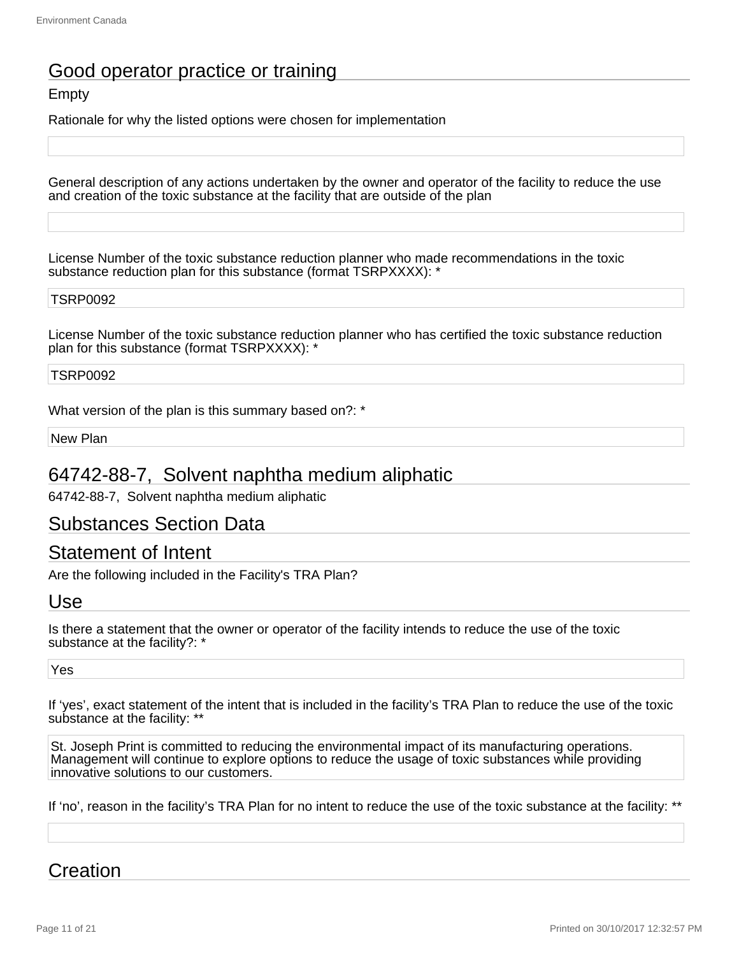# Good operator practice or training

### **Empty**

Rationale for why the listed options were chosen for implementation

General description of any actions undertaken by the owner and operator of the facility to reduce the use and creation of the toxic substance at the facility that are outside of the plan

License Number of the toxic substance reduction planner who made recommendations in the toxic substance reduction plan for this substance (format TSRPXXXX): \*

#### TSRP0092

License Number of the toxic substance reduction planner who has certified the toxic substance reduction plan for this substance (format TSRPXXXX): \*

#### TSRP0092

What version of the plan is this summary based on?: \*

New Plan

## 64742-88-7, Solvent naphtha medium aliphatic

64742-88-7, Solvent naphtha medium aliphatic

## Substances Section Data

## Statement of Intent

Are the following included in the Facility's TRA Plan?

#### Use

Is there a statement that the owner or operator of the facility intends to reduce the use of the toxic substance at the facility?: \*

#### Yes

If 'yes', exact statement of the intent that is included in the facility's TRA Plan to reduce the use of the toxic substance at the facility: \*\*

St. Joseph Print is committed to reducing the environmental impact of its manufacturing operations. Management will continue to explore options to reduce the usage of toxic substances while providing innovative solutions to our customers.

If 'no', reason in the facility's TRA Plan for no intent to reduce the use of the toxic substance at the facility: \*\*

# **Creation**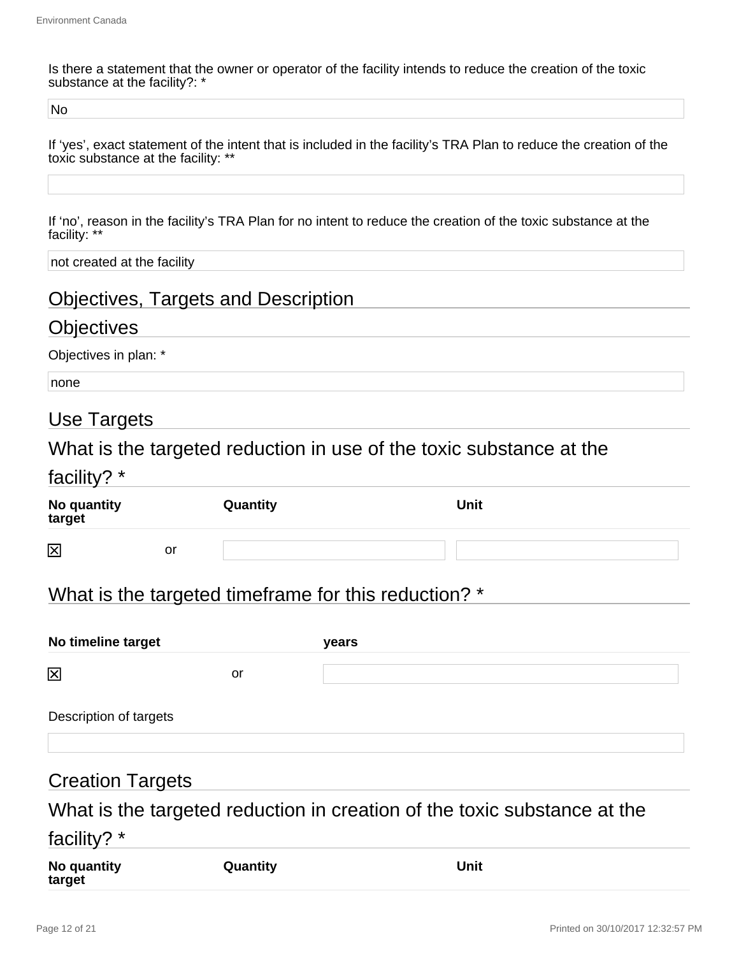Is there a statement that the owner or operator of the facility intends to reduce the creation of the toxic substance at the facility?: \*

No

If 'yes', exact statement of the intent that is included in the facility's TRA Plan to reduce the creation of the toxic substance at the facility: \*\*

If 'no', reason in the facility's TRA Plan for no intent to reduce the creation of the toxic substance at the facility: \*\*

not created at the facility

# Objectives, Targets and Description

# **Objectives**

Objectives in plan: \*

none

# Use Targets

What is the targeted reduction in use of the toxic substance at the

| racility? |
|-----------|
|-----------|

| No quantity<br>target |    | Quantity | <b>Unit</b> |
|-----------------------|----|----------|-------------|
| 区                     | or |          |             |

# What is the targeted timeframe for this reduction? \*

| No timeline target     |    | years |  |  |
|------------------------|----|-------|--|--|
| 区                      | or |       |  |  |
| Description of targets |    |       |  |  |
|                        |    |       |  |  |

# Creation Targets

# What is the targeted reduction in creation of the toxic substance at the

## facility? \*

| No quantity | Quantity | Unit |
|-------------|----------|------|
| target      |          |      |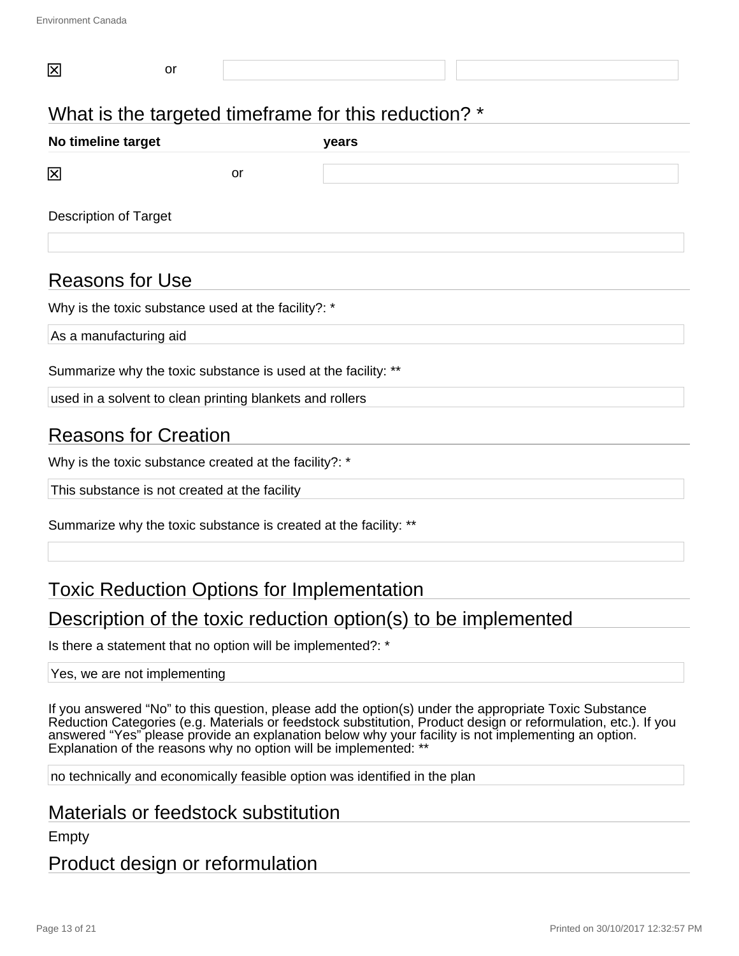| 区                            | or |    |                                                      |  |  |
|------------------------------|----|----|------------------------------------------------------|--|--|
|                              |    |    | What is the targeted timeframe for this reduction? * |  |  |
| No timeline target           |    |    | years                                                |  |  |
| 区                            |    | or |                                                      |  |  |
| <b>Description of Target</b> |    |    |                                                      |  |  |
| <b>Reasons for Use</b>       |    |    |                                                      |  |  |

Why is the toxic substance used at the facility?: \*

As a manufacturing aid

Summarize why the toxic substance is used at the facility: \*\*

used in a solvent to clean printing blankets and rollers

# Reasons for Creation

Why is the toxic substance created at the facility?: \*

This substance is not created at the facility

Summarize why the toxic substance is created at the facility: \*\*

# Toxic Reduction Options for Implementation

# Description of the toxic reduction option(s) to be implemented

Is there a statement that no option will be implemented?: \*

#### Yes, we are not implementing

If you answered "No" to this question, please add the option(s) under the appropriate Toxic Substance Reduction Categories (e.g. Materials or feedstock substitution, Product design or reformulation, etc.). If you answered "Yes" please provide an explanation below why your facility is not implementing an option. Explanation of the reasons why no option will be implemented: \*\*

no technically and economically feasible option was identified in the plan

## Materials or feedstock substitution

Empty

## Product design or reformulation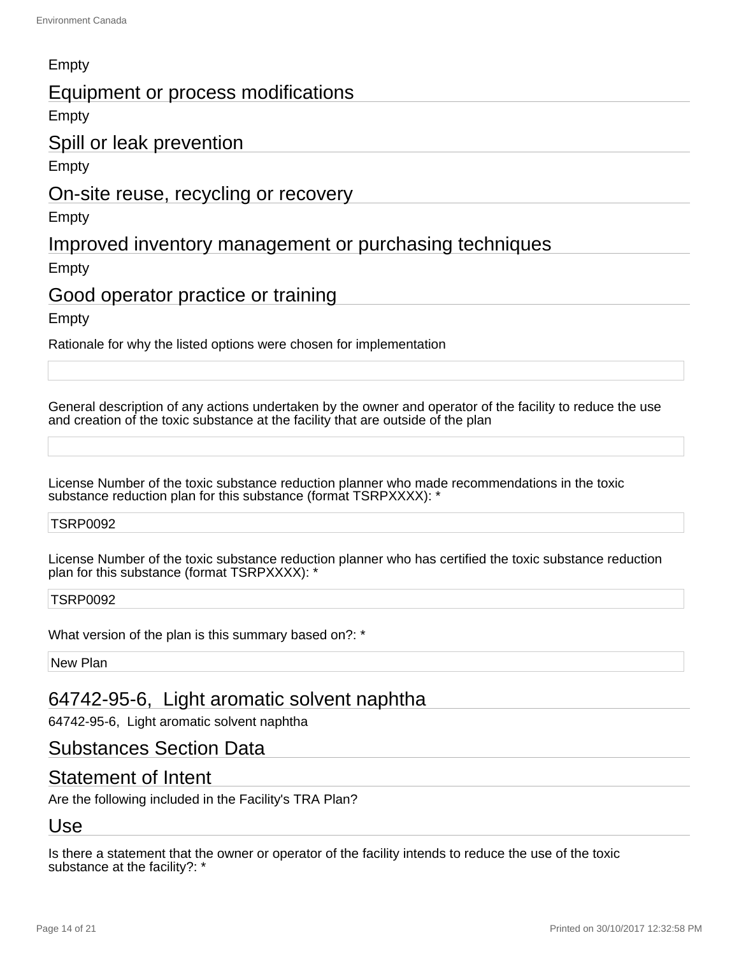## Empty

## Equipment or process modifications

**Empty** 

## Spill or leak prevention

Empty

## On-site reuse, recycling or recovery

Empty

# Improved inventory management or purchasing techniques

Empty

## Good operator practice or training

**Empty** 

Rationale for why the listed options were chosen for implementation

General description of any actions undertaken by the owner and operator of the facility to reduce the use and creation of the toxic substance at the facility that are outside of the plan

License Number of the toxic substance reduction planner who made recommendations in the toxic substance reduction plan for this substance (format TSRPXXXX): '

#### TSRP0092

License Number of the toxic substance reduction planner who has certified the toxic substance reduction plan for this substance (format TSRPXXXX): \*

#### TSRP0092

What version of the plan is this summary based on?: \*

New Plan

# 64742-95-6, Light aromatic solvent naphtha

64742-95-6, Light aromatic solvent naphtha

## Substances Section Data

## Statement of Intent

Are the following included in the Facility's TRA Plan?

# Use

Is there a statement that the owner or operator of the facility intends to reduce the use of the toxic substance at the facility?: \*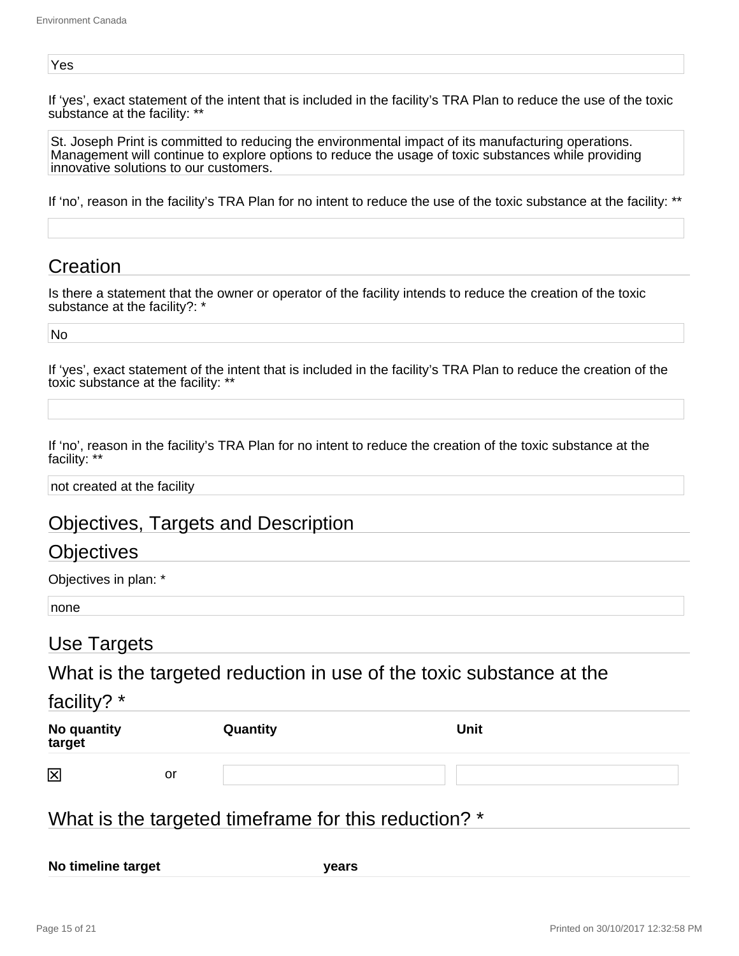#### Yes

If 'yes', exact statement of the intent that is included in the facility's TRA Plan to reduce the use of the toxic substance at the facility: \*\*

St. Joseph Print is committed to reducing the environmental impact of its manufacturing operations. Management will continue to explore options to reduce the usage of toxic substances while providing innovative solutions to our customers.

If 'no', reason in the facility's TRA Plan for no intent to reduce the use of the toxic substance at the facility: \*\*

# **Creation**

Is there a statement that the owner or operator of the facility intends to reduce the creation of the toxic substance at the facility?: \*

No

If 'yes', exact statement of the intent that is included in the facility's TRA Plan to reduce the creation of the toxic substance at the facility: \*\*

If 'no', reason in the facility's TRA Plan for no intent to reduce the creation of the toxic substance at the facility: \*\*

not created at the facility

# Objectives, Targets and Description

## **Objectives**

Objectives in plan: \*

none

## Use Targets

What is the targeted reduction in use of the toxic substance at the

## facility? \*

| No quantity<br>target |    | Quantity | <b>Unit</b> |
|-----------------------|----|----------|-------------|
| 図                     | or |          |             |

# What is the targeted timeframe for this reduction? \*

**No timeline target years**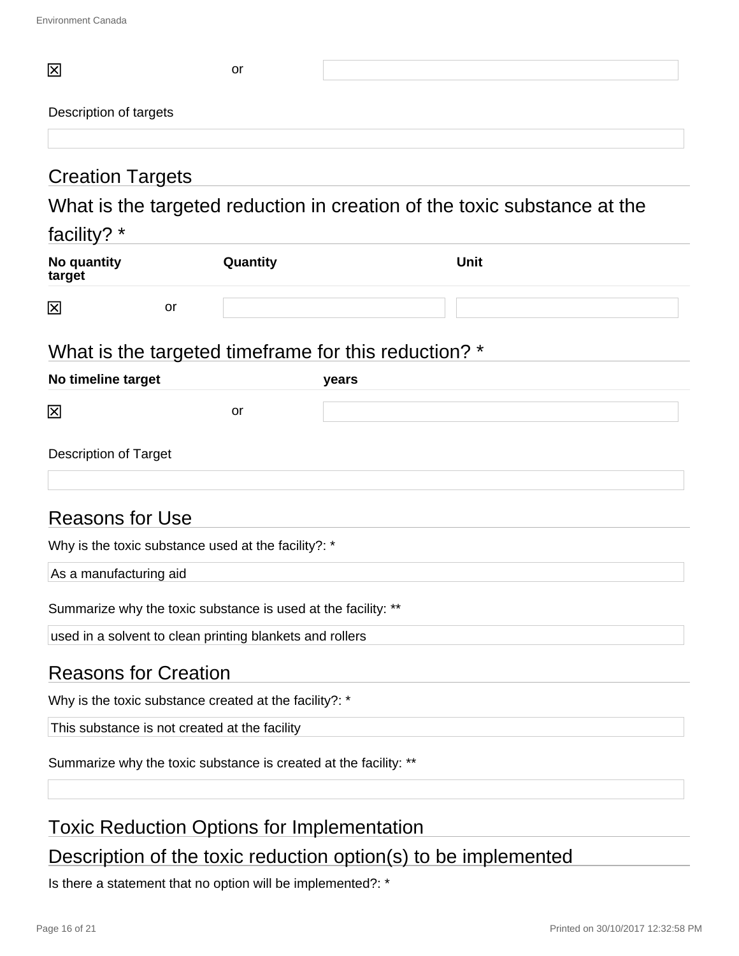| 区                                                                | or       |       |                                                                          |  |
|------------------------------------------------------------------|----------|-------|--------------------------------------------------------------------------|--|
| Description of targets                                           |          |       |                                                                          |  |
|                                                                  |          |       |                                                                          |  |
| <b>Creation Targets</b>                                          |          |       |                                                                          |  |
|                                                                  |          |       | What is the targeted reduction in creation of the toxic substance at the |  |
| facility? *                                                      |          |       |                                                                          |  |
| No quantity<br>target                                            | Quantity |       | <b>Unit</b>                                                              |  |
| 区<br>or                                                          |          |       |                                                                          |  |
| What is the targeted timeframe for this reduction? *             |          |       |                                                                          |  |
| No timeline target                                               |          | years |                                                                          |  |
| 区                                                                | or       |       |                                                                          |  |
| <b>Description of Target</b>                                     |          |       |                                                                          |  |
|                                                                  |          |       |                                                                          |  |
| <b>Reasons for Use</b>                                           |          |       |                                                                          |  |
| Why is the toxic substance used at the facility?: *              |          |       |                                                                          |  |
| As a manufacturing aid                                           |          |       |                                                                          |  |
| Summarize why the toxic substance is used at the facility: **    |          |       |                                                                          |  |
| used in a solvent to clean printing blankets and rollers         |          |       |                                                                          |  |
| <b>Reasons for Creation</b>                                      |          |       |                                                                          |  |
| Why is the toxic substance created at the facility?: *           |          |       |                                                                          |  |
| This substance is not created at the facility                    |          |       |                                                                          |  |
| Summarize why the toxic substance is created at the facility: ** |          |       |                                                                          |  |
| <b>Toxic Reduction Options for Implementation</b>                |          |       |                                                                          |  |

# Description of the toxic reduction option(s) to be implemented

Is there a statement that no option will be implemented?: \*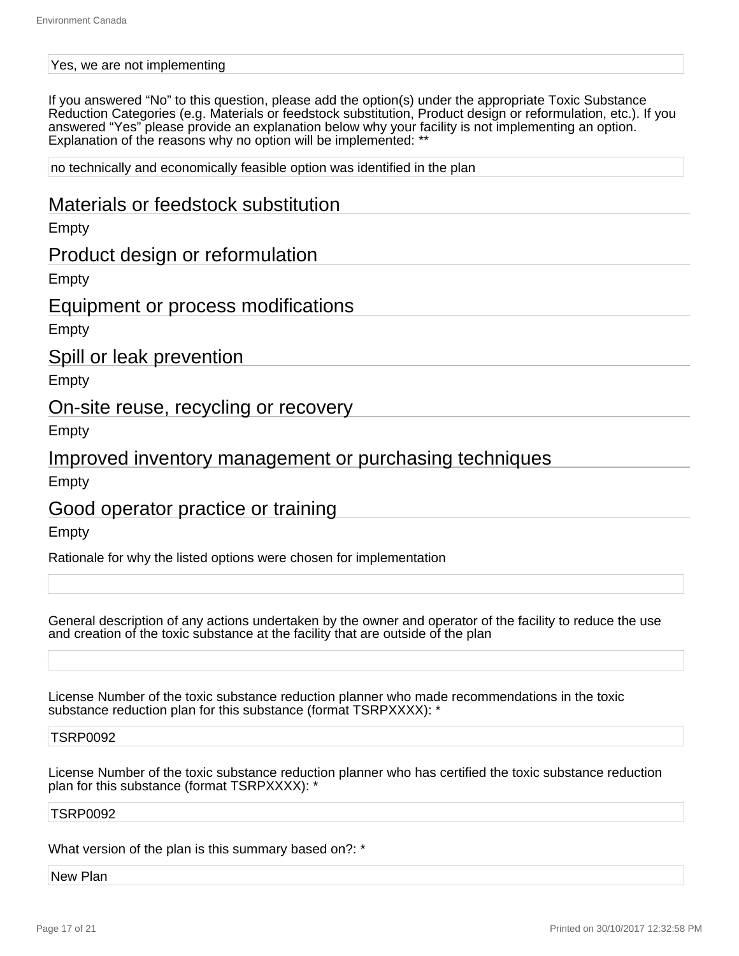#### Yes, we are not implementing

If you answered "No" to this question, please add the option(s) under the appropriate Toxic Substance Reduction Categories (e.g. Materials or feedstock substitution, Product design or reformulation, etc.). If you answered "Yes" please provide an explanation below why your facility is not implementing an option. Explanation of the reasons why no option will be implemented: \*\*

no technically and economically feasible option was identified in the plan

## Materials or feedstock substitution

Empty

## Product design or reformulation

Empty

## Equipment or process modifications

Empty

## Spill or leak prevention

Empty

## On-site reuse, recycling or recovery

Empty

## Improved inventory management or purchasing techniques

Empty

## Good operator practice or training

Empty

Rationale for why the listed options were chosen for implementation

General description of any actions undertaken by the owner and operator of the facility to reduce the use and creation of the toxic substance at the facility that are outside of the plan

License Number of the toxic substance reduction planner who made recommendations in the toxic substance reduction plan for this substance (format TSRPXXXX): \*

#### TSRP0092

License Number of the toxic substance reduction planner who has certified the toxic substance reduction plan for this substance (format TSRPXXXX): \*

#### TSRP0092

What version of the plan is this summary based on?: \*

New Plan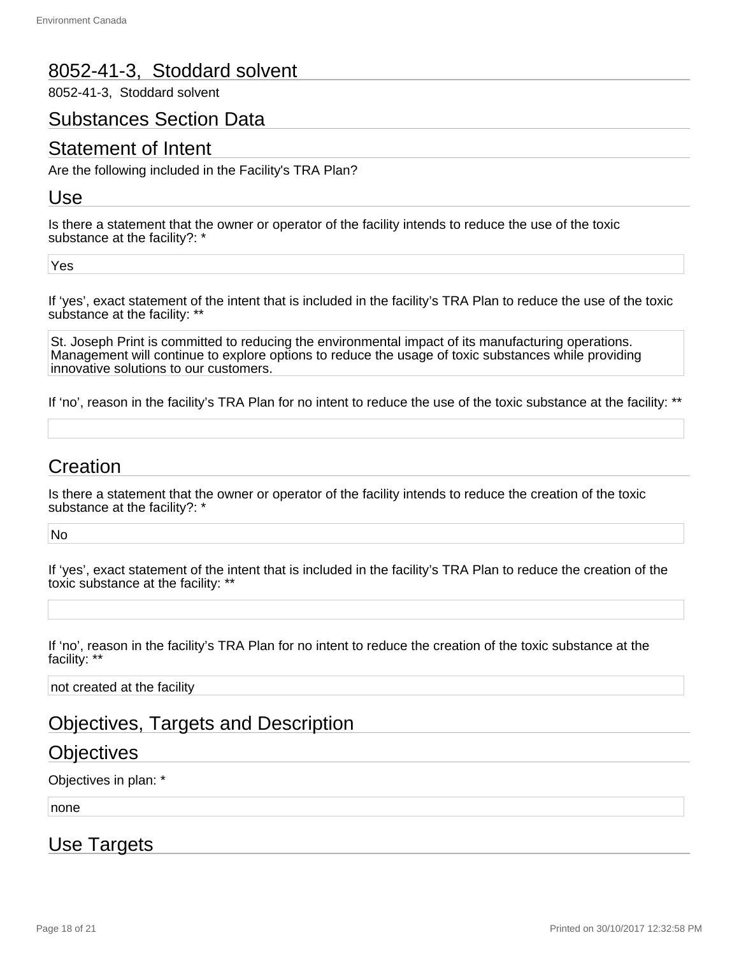# 8052-41-3, Stoddard solvent

8052-41-3, Stoddard solvent

## Substances Section Data

# Statement of Intent

Are the following included in the Facility's TRA Plan?

## Use

Is there a statement that the owner or operator of the facility intends to reduce the use of the toxic substance at the facility?: \*

Yes

If 'yes', exact statement of the intent that is included in the facility's TRA Plan to reduce the use of the toxic substance at the facility: \*\*

St. Joseph Print is committed to reducing the environmental impact of its manufacturing operations. Management will continue to explore options to reduce the usage of toxic substances while providing innovative solutions to our customers.

If 'no', reason in the facility's TRA Plan for no intent to reduce the use of the toxic substance at the facility: \*\*

# Creation

Is there a statement that the owner or operator of the facility intends to reduce the creation of the toxic substance at the facility?: \*

No

If 'yes', exact statement of the intent that is included in the facility's TRA Plan to reduce the creation of the toxic substance at the facility: \*\*

If 'no', reason in the facility's TRA Plan for no intent to reduce the creation of the toxic substance at the facility: \*\*

not created at the facility

# Objectives, Targets and Description

## **Objectives**

Objectives in plan: \*

none

## Use Targets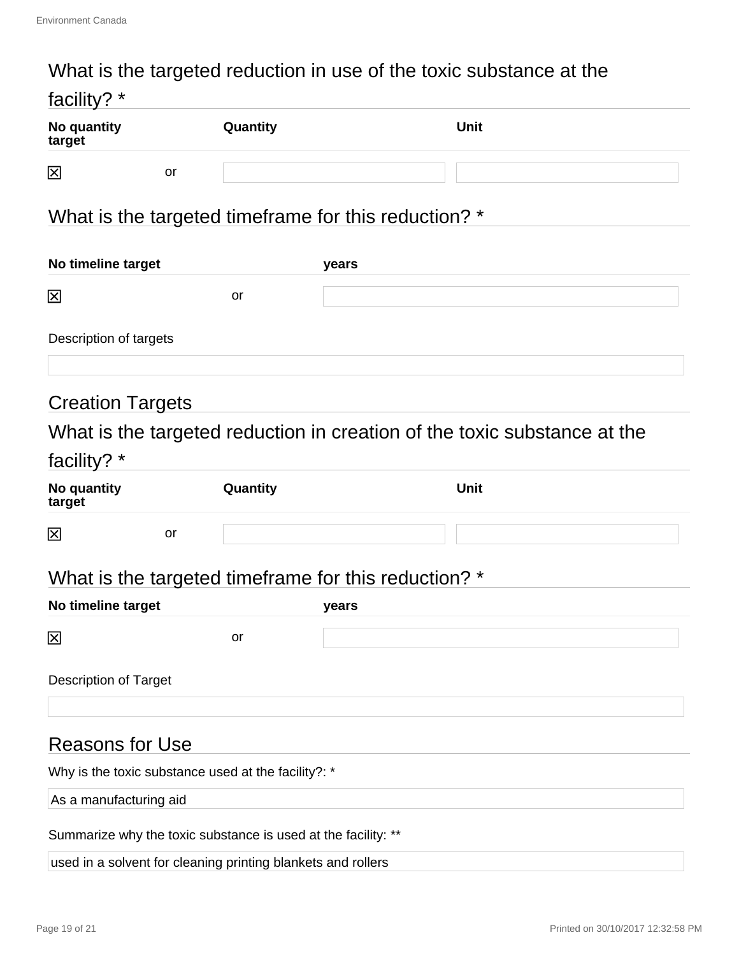# What is the targeted reduction in use of the toxic substance at the

| facility? *                                                   |    |                                                              |                                                      |                                                                          |  |
|---------------------------------------------------------------|----|--------------------------------------------------------------|------------------------------------------------------|--------------------------------------------------------------------------|--|
| No quantity<br>target                                         |    | Quantity                                                     |                                                      | <b>Unit</b>                                                              |  |
| 図                                                             | or |                                                              |                                                      |                                                                          |  |
|                                                               |    |                                                              | What is the targeted timeframe for this reduction? * |                                                                          |  |
| No timeline target                                            |    |                                                              | years                                                |                                                                          |  |
| 図                                                             |    | or                                                           |                                                      |                                                                          |  |
| Description of targets                                        |    |                                                              |                                                      |                                                                          |  |
| <b>Creation Targets</b>                                       |    |                                                              |                                                      |                                                                          |  |
| facility? *                                                   |    |                                                              |                                                      | What is the targeted reduction in creation of the toxic substance at the |  |
| No quantity<br>target                                         |    | Quantity                                                     |                                                      | <b>Unit</b>                                                              |  |
| 図                                                             | or |                                                              |                                                      |                                                                          |  |
|                                                               |    |                                                              | What is the targeted timeframe for this reduction? * |                                                                          |  |
| No timeline target                                            |    |                                                              | years                                                |                                                                          |  |
| 区                                                             |    | or                                                           |                                                      |                                                                          |  |
| <b>Description of Target</b>                                  |    |                                                              |                                                      |                                                                          |  |
| <b>Reasons for Use</b>                                        |    |                                                              |                                                      |                                                                          |  |
| Why is the toxic substance used at the facility?: *           |    |                                                              |                                                      |                                                                          |  |
| As a manufacturing aid                                        |    |                                                              |                                                      |                                                                          |  |
| Summarize why the toxic substance is used at the facility: ** |    |                                                              |                                                      |                                                                          |  |
|                                                               |    | used in a solvent for cleaning printing blankets and rollers |                                                      |                                                                          |  |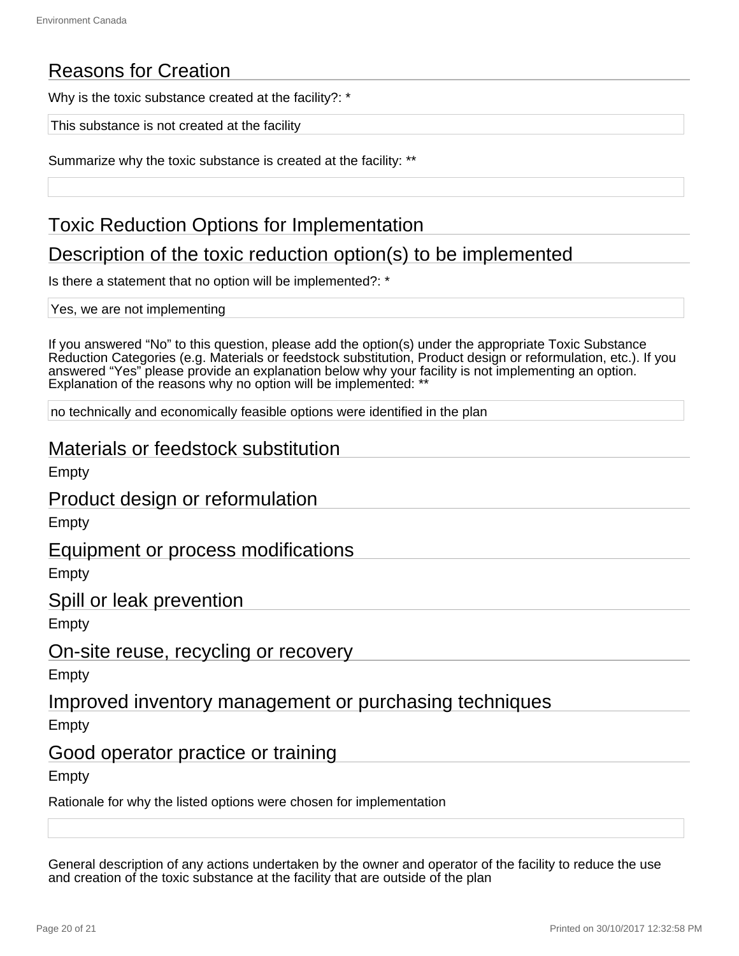# Reasons for Creation

Why is the toxic substance created at the facility?: \*

This substance is not created at the facility

Summarize why the toxic substance is created at the facility: \*\*

# Toxic Reduction Options for Implementation

# Description of the toxic reduction option(s) to be implemented

Is there a statement that no option will be implemented?: \*

Yes, we are not implementing

If you answered "No" to this question, please add the option(s) under the appropriate Toxic Substance Reduction Categories (e.g. Materials or feedstock substitution, Product design or reformulation, etc.). If you answered "Yes" please provide an explanation below why your facility is not implementing an option. Explanation of the reasons why no option will be implemented: \*\*

no technically and economically feasible options were identified in the plan

## Materials or feedstock substitution

Empty

Product design or reformulation

Empty

## Equipment or process modifications

Empty

Spill or leak prevention

Empty

## On-site reuse, recycling or recovery

Empty

Improved inventory management or purchasing techniques

Empty

## Good operator practice or training

Empty

Rationale for why the listed options were chosen for implementation

General description of any actions undertaken by the owner and operator of the facility to reduce the use and creation of the toxic substance at the facility that are outside of the plan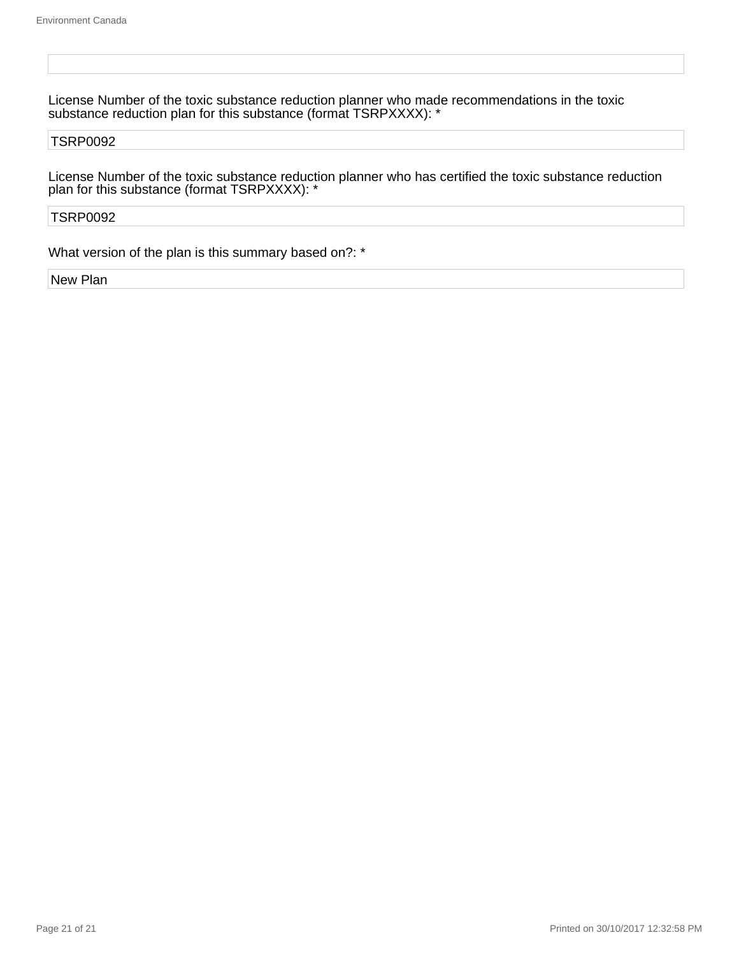License Number of the toxic substance reduction planner who made recommendations in the toxic substance reduction plan for this substance (format TSRPXXXX): \*

#### TSRP0092

License Number of the toxic substance reduction planner who has certified the toxic substance reduction plan for this substance (format TSRPXXXX): \*

#### TSRP0092

What version of the plan is this summary based on?: \*

New Plan